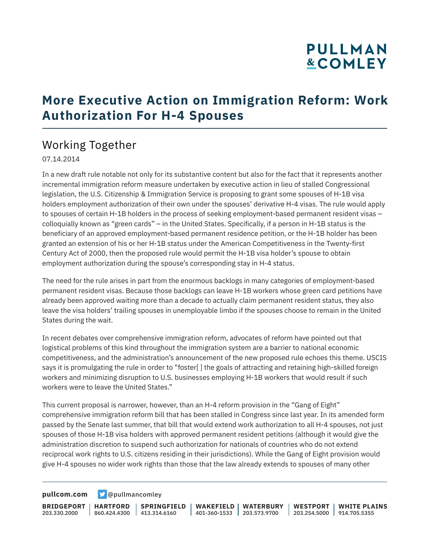# **PULLMAN &COMLEY**

## **More Executive Action on Immigration Reform: Work Authorization For H-4 Spouses**

### Working Together

#### 07.14.2014

In a new draft rule notable not only for its substantive content but also for the fact that it represents another incremental immigration reform measure undertaken by executive action in lieu of stalled Congressional legislation, the U.S. Citizenship & Immigration Service is proposing to grant some spouses of H-1B visa holders employment authorization of their own under the spouses' derivative H-4 visas. The rule would apply to spouses of certain H-1B holders in the process of seeking employment-based permanent resident visas – colloquially known as "green cards" – in the United States. Specifically, if a person in H-1B status is the beneficiary of an approved employment-based permanent residence petition, or the H-1B holder has been granted an extension of his or her H-1B status under the American Competitiveness in the Twenty-first Century Act of 2000, then the proposed rule would permit the H-1B visa holder's spouse to obtain employment authorization during the spouse's corresponding stay in H-4 status.

The need for the rule arises in part from the enormous backlogs in many categories of employment-based permanent resident visas. Because those backlogs can leave H-1B workers whose green card petitions have already been approved waiting more than a decade to actually claim permanent resident status, they also leave the visa holders' trailing spouses in unemployable limbo if the spouses choose to remain in the United States during the wait.

In recent debates over comprehensive immigration reform, advocates of reform have pointed out that logistical problems of this kind throughout the immigration system are a barrier to national economic competitiveness, and the administration's announcement of the new proposed rule echoes this theme. USCIS says it is promulgating the rule in order to "foster[] the goals of attracting and retaining high-skilled foreign workers and minimizing disruption to U.S. businesses employing H-1B workers that would result if such workers were to leave the United States."

This current proposal is narrower, however, than an H-4 reform provision in the "Gang of Eight" comprehensive immigration reform bill that has been stalled in Congress since last year. In its amended form passed by the Senate last summer, that bill that would extend work authorization to all H-4 spouses, not just spouses of those H-1B visa holders with approved permanent resident petitions (although it would give the administration discretion to suspend such authorization for nationals of countries who do not extend reciprocal work rights to U.S. citizens residing in their jurisdictions). While the Gang of Eight provision would give H-4 spouses no wider work rights than those that the law already extends to spouses of many other

**[pullcom.com](https://www.pullcom.com) g** [@pullmancomley](https://twitter.com/PullmanComley)

**BRIDGEPORT** 203.330.2000

**HARTFORD**

860.424.4300 413.314.6160 **SPRINGFIELD** **WAKEFIELD WATERBURY** 401-360-1533 203.573.9700